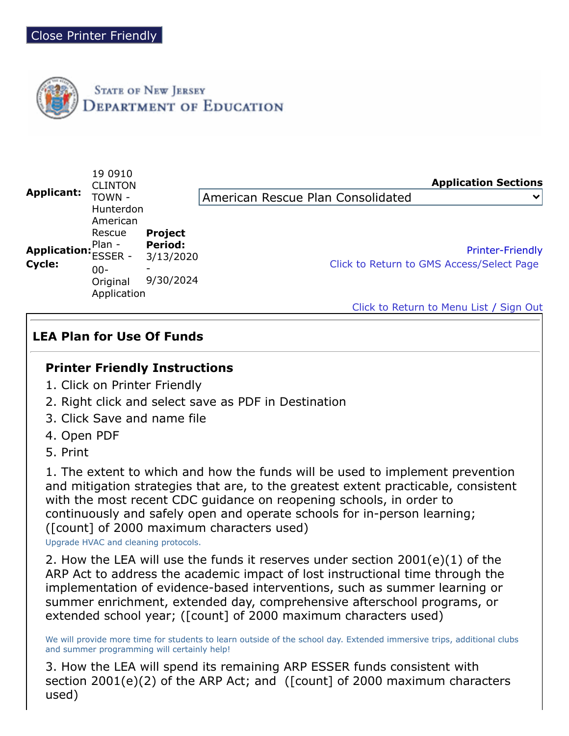

| Applicant:             | 19 0910<br><b>CLINTON</b><br>TOWN -                                                              |                                                            | <b>Application Sections</b><br>American Rescue Plan Consolidated<br>$\checkmark$                                |
|------------------------|--------------------------------------------------------------------------------------------------|------------------------------------------------------------|-----------------------------------------------------------------------------------------------------------------|
| Application:<br>Cycle: | Hunterdon<br>American<br>Rescue<br>Plan -<br><b>ESSER -</b><br>$00 -$<br>Original<br>Application | <b>Project</b><br><b>Period:</b><br>3/13/2020<br>9/30/2024 | <b>Printer-Friendly</b><br>Click to Return to GMS Access/Select Page<br>Click to Return to Menu List / Sign Out |

## **LEA Plan for Use Of Funds**

## **Printer Friendly Instructions**

- 1. Click on Printer Friendly
- 2. Right click and select save as PDF in Destination
- 3. Click Save and name file
- 4. Open PDF
- 5. Print

1. The extent to which and how the funds will be used to implement prevention and mitigation strategies that are, to the greatest extent practicable, consistent with the most recent CDC guidance on reopening schools, in order to continuously and safely open and operate schools for in-person learning; ([count] of 2000 maximum characters used)

Upgrade HVAC and cleaning protocols.

2. How the LEA will use the funds it reserves under section 2001(e)(1) of the ARP Act to address the academic impact of lost instructional time through the implementation of evidence-based interventions, such as summer learning or summer enrichment, extended day, comprehensive afterschool programs, or extended school year; ([count] of 2000 maximum characters used)

We will provide more time for students to learn outside of the school day. Extended immersive trips, additional clubs and summer programming will certainly help!

3. How the LEA will spend its remaining ARP ESSER funds consistent with section 2001(e)(2) of the ARP Act; and ([count] of 2000 maximum characters used)